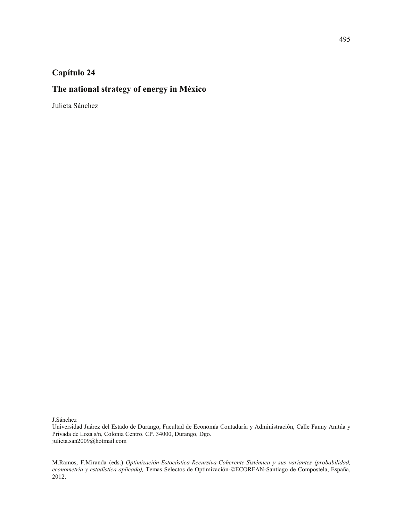# **Capítulo 24**

# **The national strategy of energy in México**

Julieta Sánchez

J.Sánchez

Universidad Juárez del Estado de Durango, Facultad de Economía Contaduría y Administración, Calle Fanny Anitúa y Privada de Loza s/n, Colonia Centro. CP. 34000, Durango, Dgo. julieta.san2009@hotmail.com

M.Ramos, F.Miranda (eds.) *Optimización-Estocástica-Recursiva-Coherente-Sistémica y sus variantes (probabilidad, econometría y estadística aplicada),* Temas Selectos de Optimización-©ECORFAN-Santiago de Compostela, España, 2012.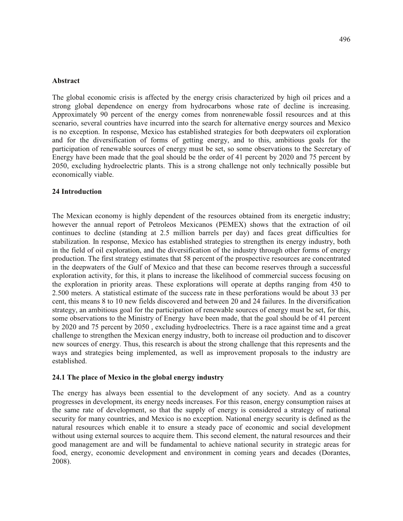#### **Abstract**

The global economic crisis is affected by the energy crisis characterized by high oil prices and a strong global dependence on energy from hydrocarbons whose rate of decline is increasing. Approximately 90 percent of the energy comes from nonrenewable fossil resources and at this scenario, several countries have incurred into the search for alternative energy sources and Mexico is no exception. In response, Mexico has established strategies for both deepwaters oil exploration and for the diversification of forms of getting energy, and to this, ambitious goals for the participation of renewable sources of energy must be set, so some observations to the Secretary of Energy have been made that the goal should be the order of 41 percent by 2020 and 75 percent by 2050, excluding hydroelectric plants. This is a strong challenge not only technically possible but economically viable.

## **24 Introduction**

The Mexican economy is highly dependent of the resources obtained from its energetic industry; however the annual report of Petroleos Mexicanos (PEMEX) shows that the extraction of oil continues to decline (standing at 2.5 million barrels per day) and faces great difficulties for stabilization. In response, Mexico has established strategies to strengthen its energy industry, both in the field of oil exploration, and the diversification of the industry through other forms of energy production. The first strategy estimates that 58 percent of the prospective resources are concentrated in the deepwaters of the Gulf of Mexico and that these can become reserves through a successful exploration activity, for this, it plans to increase the likelihood of commercial success focusing on the exploration in priority areas. These explorations will operate at depths ranging from 450 to 2.500 meters. A statistical estimate of the success rate in these perforations would be about 33 per cent, this means 8 to 10 new fields discovered and between 20 and 24 failures. In the diversification strategy, an ambitious goal for the participation of renewable sources of energy must be set, for this, some observations to the Ministry of Energy have been made, that the goal should be of 41 percent by 2020 and 75 percent by 2050 , excluding hydroelectrics. There is a race against time and a great challenge to strengthen the Mexican energy industry, both to increase oil production and to discover new sources of energy. Thus, this research is about the strong challenge that this represents and the ways and strategies being implemented, as well as improvement proposals to the industry are established.

### **24.1 The place of Mexico in the global energy industry**

The energy has always been essential to the development of any society. And as a country progresses in development, its energy needs increases. For this reason, energy consumption raises at the same rate of development, so that the supply of energy is considered a strategy of national security for many countries, and Mexico is no exception. National energy security is defined as the natural resources which enable it to ensure a steady pace of economic and social development without using external sources to acquire them. This second element, the natural resources and their good management are and will be fundamental to achieve national security in strategic areas for food, energy, economic development and environment in coming years and decades (Dorantes, 2008).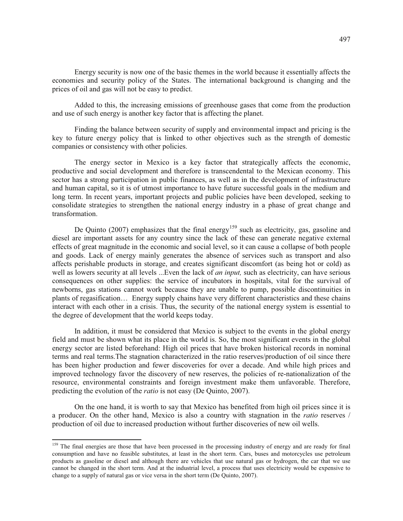Energy security is now one of the basic themes in the world because it essentially affects the economies and security policy of the States. The international background is changing and the prices of oil and gas will not be easy to predict.

Added to this, the increasing emissions of greenhouse gases that come from the production and use of such energy is another key factor that is affecting the planet.

Finding the balance between security of supply and environmental impact and pricing is the key to future energy policy that is linked to other objectives such as the strength of domestic companies or consistency with other policies.

The energy sector in Mexico is a key factor that strategically affects the economic, productive and social development and therefore is transcendental to the Mexican economy. This sector has a strong participation in public finances, as well as in the development of infrastructure and human capital, so it is of utmost importance to have future successful goals in the medium and long term. In recent years, important projects and public policies have been developed, seeking to consolidate strategies to strengthen the national energy industry in a phase of great change and transformation.

De Quinto  $(2007)$  emphasizes that the final energy<sup>159</sup> such as electricity, gas, gasoline and diesel are important assets for any country since the lack of these can generate negative external effects of great magnitude in the economic and social level, so it can cause a collapse of both people and goods. Lack of energy mainly generates the absence of services such as transport and also affects perishable products in storage, and creates significant discomfort (as being hot or cold) as well as lowers security at all levels ...Even the lack of *an input,* such as electricity, can have serious consequences on other supplies: the service of incubators in hospitals, vital for the survival of newborns, gas stations cannot work because they are unable to pump, possible discontinuities in plants of regasification… Energy supply chains have very different characteristics and these chains interact with each other in a crisis. Thus, the security of the national energy system is essential to the degree of development that the world keeps today.

In addition, it must be considered that Mexico is subject to the events in the global energy field and must be shown what its place in the world is. So, the most significant events in the global energy sector are listed beforehand: High oil prices that have broken historical records in nominal terms and real terms.The stagnation characterized in the ratio reserves/production of oil since there has been higher production and fewer discoveries for over a decade. And while high prices and improved technology favor the discovery of new reserves, the policies of re-nationalization of the resource, environmental constraints and foreign investment make them unfavorable. Therefore, predicting the evolution of the *ratio* is not easy (De Quinto, 2007).

On the one hand, it is worth to say that Mexico has benefited from high oil prices since it is a producer. On the other hand, Mexico is also a country with stagnation in the *ratio* reserves / production of oil due to increased production without further discoveries of new oil wells.

<sup>&</sup>lt;sup>159</sup> The final energies are those that have been processed in the processing industry of energy and are ready for final consumption and have no feasible substitutes, at least in the short term. Cars, buses and motorcycles use petroleum products as gasoline or diesel and although there are vehicles that use natural gas or hydrogen, the car that we use cannot be changed in the short term. And at the industrial level, a process that uses electricity would be expensive to change to a supply of natural gas or vice versa in the short term (De Quinto, 2007).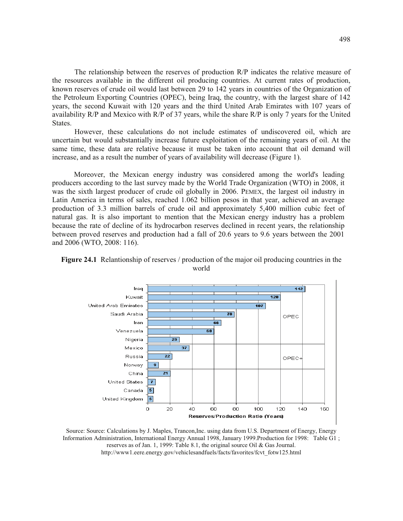The relationship between the reserves of production R/P indicates the relative measure of the resources available in the different oil producing countries. At current rates of production, known reserves of crude oil would last between 29 to 142 years in countries of the Organization of the Petroleum Exporting Countries (OPEC), being Iraq, the country, with the largest share of 142 years, the second Kuwait with 120 years and the third United Arab Emirates with 107 years of availability R/P and Mexico with R/P of 37 years, while the share R/P is only 7 years for the United States.

However, these calculations do not include estimates of undiscovered oil, which are uncertain but would substantially increase future exploitation of the remaining years of oil. At the same time, these data are relative because it must be taken into account that oil demand will increase, and as a result the number of years of availability will decrease (Figure 1).

Moreover, the Mexican energy industry was considered among the world's leading producers according to the last survey made by the World Trade Organization (WTO) in 2008, it was the sixth largest producer of crude oil globally in 2006. PEMEX, the largest oil industry in Latin America in terms of sales, reached 1.062 billion pesos in that year, achieved an average production of 3.3 million barrels of crude oil and approximately 5,400 million cubic feet of natural gas. It is also important to mention that the Mexican energy industry has a problem because the rate of decline of its hydrocarbon reserves declined in recent years, the relationship between proved reserves and production had a fall of 20.6 years to 9.6 years between the 2001 and 2006 (WTO, 2008: 116).



**Figure 24.1** Relantionship of reserves / production of the major oil producing countries in the world

Source: Source: Calculations by J. Maples, Trancon,Inc. using data from U.S. Department of Energy, Energy Information Administration, International Energy Annual 1998, January 1999.Production for 1998: Table G1 ; reserves as of Jan. 1, 1999: Table 8.1, the original source Oil & Gas Journal. http://www1.eere.energy.gov/vehiclesandfuels/facts/favorites/fcvt\_fotw125.html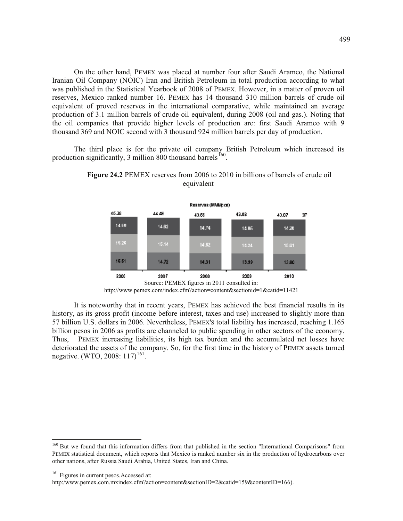On the other hand, PEMEX was placed at number four after Saudi Aramco, the National Iranian Oil Company (NOIC) Iran and British Petroleum in total production according to what was published in the Statistical Yearbook of 2008 of PEMEX. However, in a matter of proven oil reserves, Mexico ranked number 16. PEMEX has 14 thousand 310 million barrels of crude oil equivalent of proved reserves in the international comparative, while maintained an average production of 3.1 million barrels of crude oil equivalent, during 2008 (oil and gas.). Noting that the oil companies that provide higher levels of production are: first Saudi Aramco with 9 thousand 369 and NOIC second with 3 thousand 924 million barrels per day of production.

The third place is for the private oil company British Petroleum which increased its production significantly, 3 million  $800$  thousand barrels  $^{160}$ .



**Figure 24.2** PEMEX reserves from 2006 to 2010 in billions of barrels of crude oil equivalent

It is noteworthy that in recent years, PEMEX has achieved the best financial results in its history, as its gross profit (income before interest, taxes and use) increased to slightly more than 57 billion U.S. dollars in 2006. Nevertheless, PEMEX'S total liability has increased, reaching 1.165 billion pesos in 2006 as profits are channeled to public spending in other sectors of the economy. Thus, PEMEX increasing liabilities, its high tax burden and the accumulated net losses have deteriorated the assets of the company. So, for the first time in the history of PEMEX assets turned negative. (WTO, 2008: 117)<sup>161</sup>.

Source: PEMEX figures in 2011 consulted in: http://www.pemex.com/index.cfm?action=content&sectionid=1&catid=11421

<sup>&</sup>lt;sup>160</sup> But we found that this information differs from that published in the section "International Comparisons" from PEMEX statistical document, which reports that Mexico is ranked number six in the production of hydrocarbons over other nations, after Russia Saudi Arabia, United States, Iran and China.

<sup>&</sup>lt;sup>161</sup> Figures in current pesos. Accessed at:

http:/www.pemex.com.mxindex.cfm?action=content&sectionID=2&catid=159&contentID=166).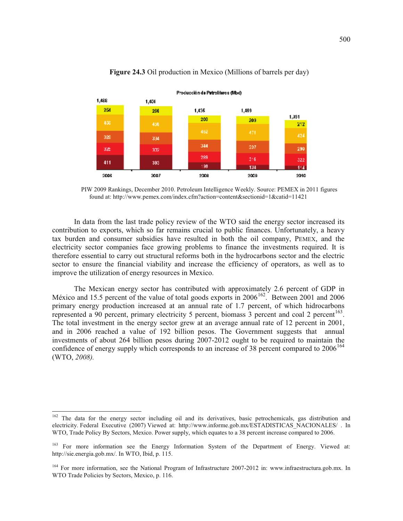

## **Figure 24.3** Oil production in Mexico (Millions of barrels per day)

PIW 2009 Rankings, December 2010. Petroleum Intelligence Weekly. Source: PEMEX in 2011 figures found at: http://www.pemex.com/index.cfm?action=content&sectionid=1&catid=11421

In data from the last trade policy review of the WTO said the energy sector increased its contribution to exports, which so far remains crucial to public finances. Unfortunately, a heavy tax burden and consumer subsidies have resulted in both the oil company, PEMEX, and the electricity sector companies face growing problems to finance the investments required. It is therefore essential to carry out structural reforms both in the hydrocarbons sector and the electric sector to ensure the financial viability and increase the efficiency of operators, as well as to improve the utilization of energy resources in Mexico.

The Mexican energy sector has contributed with approximately 2.6 percent of GDP in México and 15.5 percent of the value of total goods exports in 2006<sup>162</sup>. Between 2001 and 2006 primary energy production increased at an annual rate of 1.7 percent, of which hidrocarbons represented a 90 percent, primary electricity 5 percent, biomass  $\overline{3}$  percent and coal 2 percent<sup>163</sup>. The total investment in the energy sector grew at an average annual rate of 12 percent in 2001, and in 2006 reached a value of 192 billion pesos. The Government suggests that annual investments of about 264 billion pesos during 2007-2012 ought to be required to maintain the confidence of energy supply which corresponds to an increase of 38 percent compared to  $2006<sup>164</sup>$ (WTO, *2008).*

<sup>&</sup>lt;sup>162</sup> The data for the energy sector including oil and its derivatives, basic petrochemicals, gas distribution and electricity. Federal Executive (2007) Viewed at: http://www.informe.gob.mx/ESTADISTICAS\_NACIONALES/ . In WTO, Trade Policy By Sectors, Mexico. Power supply, which equates to a 38 percent increase compared to 2006.

<sup>&</sup>lt;sup>163</sup> For more information see the Energy Information System of the Department of Energy. Viewed at: http://sie.energia.gob.mx/. In WTO, Ibid, p. 115.

<sup>&</sup>lt;sup>164</sup> For more information, see the National Program of Infrastructure 2007-2012 in: www.infraestructura.gob.mx. In WTO Trade Policies by Sectors, Mexico, p. 116.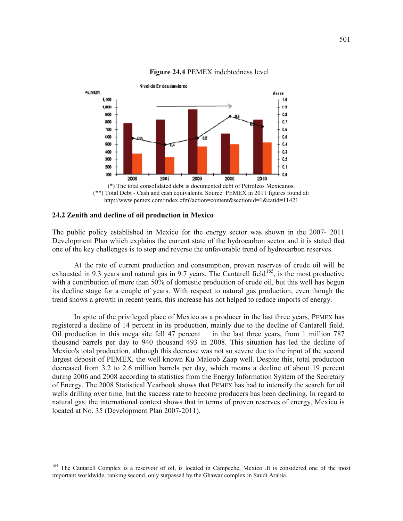

## **Figure 24.4** PEMEX indebtedness level



### **24.2 Zenith and decline of oil production in Mexico**

 $\overline{a}$ 

The public policy established in Mexico for the energy sector was shown in the 2007- 2011 Development Plan which explains the current state of the hydrocarbon sector and it is stated that one of the key challenges is to stop and reverse the unfavorable trend of hydrocarbon reserves.

At the rate of current production and consumption, proven reserves of crude oil will be exhausted in 9.3 years and natural gas in 9.7 years. The Cantarell field<sup>165</sup>, is the most productive with a contribution of more than 50% of domestic production of crude oil, but this well has begun its decline stage for a couple of years. With respect to natural gas production, even though the trend shows a growth in recent years, this increase has not helped to reduce imports of energy.

In spite of the privileged place of Mexico as a producer in the last three years, PEMEX has registered a decline of 14 percent in its production, mainly due to the decline of Cantarell field. Oil production in this mega site fell 47 percent in the last three years, from 1 million 787 thousand barrels per day to 940 thousand 493 in 2008. This situation has led the decline of Mexico's total production, although this decrease was not so severe due to the input of the second largest deposit of PEMEX, the well known Ku Maloob Zaap well. Despite this, total production decreased from 3.2 to 2.6 million barrels per day, which means a decline of about 19 percent during 2006 and 2008 according to statistics from the Energy Information System of the Secretary of Energy. The 2008 Statistical Yearbook shows that PEMEX has had to intensify the search for oil wells drilling over time, but the success rate to become producers has been declining. In regard to natural gas, the international context shows that in terms of proven reserves of energy, Mexico is located at No. 35 (Development Plan 2007-2011).

<sup>&</sup>lt;sup>165</sup> The Cantarell Complex is a reservoir of oil, is located in Campeche, Mexico .It is considered one of the most important worldwide, ranking second, only surpassed by the Ghawar complex in Saudi Arabia.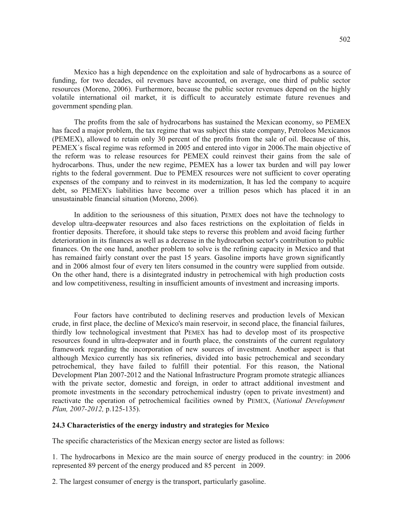Mexico has a high dependence on the exploitation and sale of hydrocarbons as a source of funding, for two decades, oil revenues have accounted, on average, one third of public sector resources (Moreno, 2006). Furthermore, because the public sector revenues depend on the highly volatile international oil market, it is difficult to accurately estimate future revenues and government spending plan.

The profits from the sale of hydrocarbons has sustained the Mexican economy, so PEMEX has faced a major problem, the tax regime that was subject this state company, Petroleos Mexicanos (PEMEX), allowed to retain only 30 percent of the profits from the sale of oil. Because of this, PEMEX´s fiscal regime was reformed in 2005 and entered into vigor in 2006.The main objective of the reform was to release resources for PEMEX could reinvest their gains from the sale of hydrocarbons. Thus, under the new regime, PEMEX has a lower tax burden and will pay lower rights to the federal government. Due to PEMEX resources were not sufficient to cover operating expenses of the company and to reinvest in its modernization, It has led the company to acquire debt, so PEMEX's liabilities have become over a trillion pesos which has placed it in an unsustainable financial situation (Moreno, 2006).

In addition to the seriousness of this situation, PEMEX does not have the technology to develop ultra-deepwater resources and also faces restrictions on the exploitation of fields in frontier deposits. Therefore, it should take steps to reverse this problem and avoid facing further deterioration in its finances as well as a decrease in the hydrocarbon sector's contribution to public finances. On the one hand, another problem to solve is the refining capacity in Mexico and that has remained fairly constant over the past 15 years. Gasoline imports have grown significantly and in 2006 almost four of every ten liters consumed in the country were supplied from outside. On the other hand, there is a disintegrated industry in petrochemical with high production costs and low competitiveness, resulting in insufficient amounts of investment and increasing imports.

Four factors have contributed to declining reserves and production levels of Mexican crude, in first place, the decline of Mexico's main reservoir, in second place, the financial failures, thirdly low technological investment that PEMEX has had to develop most of its prospective resources found in ultra-deepwater and in fourth place, the constraints of the current regulatory framework regarding the incorporation of new sources of investment. Another aspect is that although Mexico currently has six refineries, divided into basic petrochemical and secondary petrochemical, they have failed to fulfill their potential. For this reason, the National Development Plan 2007-2012 and the National Infrastructure Program promote strategic alliances with the private sector, domestic and foreign, in order to attract additional investment and promote investments in the secondary petrochemical industry (open to private investment) and reactivate the operation of petrochemical facilities owned by PEMEX, (*National Development Plan, 2007-2012,* p.125-135).

#### **24.3 Characteristics of the energy industry and strategies for Mexico**

The specific characteristics of the Mexican energy sector are listed as follows:

1. The hydrocarbons in Mexico are the main source of energy produced in the country: in 2006 represented 89 percent of the energy produced and 85 percent in 2009.

2. The largest consumer of energy is the transport, particularly gasoline.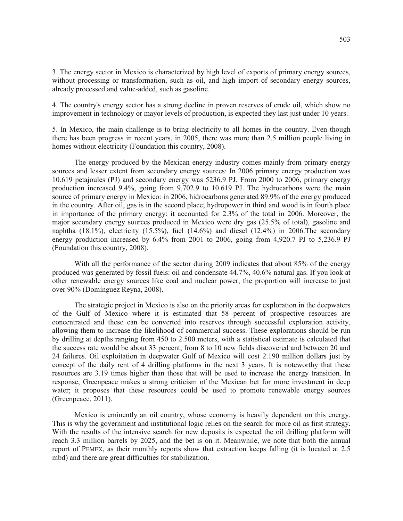3. The energy sector in Mexico is characterized by high level of exports of primary energy sources, without processing or transformation, such as oil, and high import of secondary energy sources, already processed and value-added, such as gasoline.

4. The country's energy sector has a strong decline in proven reserves of crude oil, which show no improvement in technology or mayor levels of production, is expected they last just under 10 years.

5. In Mexico, the main challenge is to bring electricity to all homes in the country. Even though there has been progress in recent years, in 2005, there was more than 2.5 million people living in homes without electricity (Foundation this country, 2008).

The energy produced by the Mexican energy industry comes mainly from primary energy sources and lesser extent from secondary energy sources: In 2006 primary energy production was 10.619 petajoules (PJ) and secondary energy was 5236.9 PJ. From 2000 to 2006, primary energy production increased 9.4%, going from 9,702.9 to 10.619 PJ. The hydrocarbons were the main source of primary energy in Mexico: in 2006, hidrocarbons generated 89.9% of the energy produced in the country. After oil, gas is in the second place; hydropower in third and wood is in fourth place in importance of the primary energy: it accounted for 2.3% of the total in 2006. Moreover, the major secondary energy sources produced in Mexico were dry gas (25.5% of total), gasoline and naphtha  $(18.1\%)$ , electricity  $(15.5\%)$ , fuel  $(14.6\%)$  and diesel  $(12.4\%)$  in 2006. The secondary energy production increased by 6.4% from 2001 to 2006, going from 4,920.7 PJ to 5,236.9 PJ (Foundation this country, 2008).

With all the performance of the sector during 2009 indicates that about 85% of the energy produced was generated by fossil fuels: oil and condensate 44.7%, 40.6% natural gas. If you look at other renewable energy sources like coal and nuclear power, the proportion will increase to just over 90% (Domínguez Reyna, 2008).

The strategic project in Mexico is also on the priority areas for exploration in the deepwaters of the Gulf of Mexico where it is estimated that 58 percent of prospective resources are concentrated and these can be converted into reserves through successful exploration activity, allowing them to increase the likelihood of commercial success. These explorations should be run by drilling at depths ranging from 450 to 2.500 meters, with a statistical estimate is calculated that the success rate would be about 33 percent, from 8 to 10 new fields discovered and between 20 and 24 failures. Oil exploitation in deepwater Gulf of Mexico will cost 2.190 million dollars just by concept of the daily rent of 4 drilling platforms in the next 3 years. It is noteworthy that these resources are 3.19 times higher than those that will be used to increase the energy transition. In response, Greenpeace makes a strong criticism of the Mexican bet for more investment in deep water; it proposes that these resources could be used to promote renewable energy sources (Greenpeace, 2011).

Mexico is eminently an oil country, whose economy is heavily dependent on this energy. This is why the government and institutional logic relies on the search for more oil as first strategy. With the results of the intensive search for new deposits is expected the oil drilling platform will reach 3.3 million barrels by 2025, and the bet is on it. Meanwhile, we note that both the annual report of PEMEX, as their monthly reports show that extraction keeps falling (it is located at 2.5 mbd) and there are great difficulties for stabilization.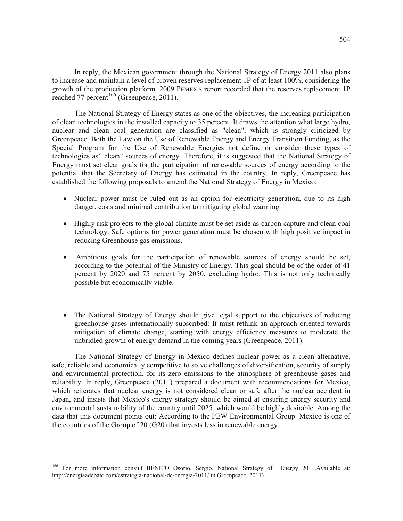In reply, the Mexican government through the National Strategy of Energy 2011 also plans to increase and maintain a level of proven reserves replacement 1P of at least 100%, considering the growth of the production platform. 2009 PEMEX'S report recorded that the reserves replacement 1P reached 77 percent<sup>166</sup> (Greenpeace, 2011).

The National Strategy of Energy states as one of the objectives, the increasing participation of clean technologies in the installed capacity to 35 percent. It draws the attention what large hydro, nuclear and clean coal generation are classified as "clean", which is strongly criticized by Greenpeace. Both the Law on the Use of Renewable Energy and Energy Transition Funding, as the Special Program for the Use of Renewable Energies not define or consider these types of technologies as" clean" sources of energy. Therefore, it is suggested that the National Strategy of Energy must set clear goals for the participation of renewable sources of energy according to the potential that the Secretary of Energy has estimated in the country. In reply, Greenpeace has established the following proposals to amend the National Strategy of Energy in Mexico:

- Nuclear power must be ruled out as an option for electricity generation, due to its high danger, costs and minimal contribution to mitigating global warming.
- Highly risk projects to the global climate must be set aside as carbon capture and clean coal technology. Safe options for power generation must be chosen with high positive impact in reducing Greenhouse gas emissions.
- Ambitious goals for the participation of renewable sources of energy should be set, according to the potential of the Ministry of Energy. This goal should be of the order of 41 percent by 2020 and 75 percent by 2050, excluding hydro. This is not only technically possible but economically viable.
- The National Strategy of Energy should give legal support to the objectives of reducing greenhouse gases internationally subscribed: It must rethink an approach oriented towards mitigation of climate change, starting with energy efficiency measures to moderate the unbridled growth of energy demand in the coming years (Greenpeace, 2011).

The National Strategy of Energy in Mexico defines nuclear power as a clean alternative, safe, reliable and economically competitive to solve challenges of diversification, security of supply and environmental protection, for its zero emissions to the atmosphere of greenhouse gases and reliability. In reply, Greenpeace (2011) prepared a document with recommendations for Mexico, which reiterates that nuclear energy is not considered clean or safe after the nuclear accident in Japan, and insists that Mexico's energy strategy should be aimed at ensuring energy security and environmental sustainability of the country until 2025, which would be highly desirable. Among the data that this document points out: According to the PEW Environmental Group. Mexico is one of the countries of the Group of 20 (G20) that invests less in renewable energy.

<sup>166</sup> For more information consult BENITO Osorio, Sergio. National Strategy of Energy 2011.Available at: http://energiaadebate.com/estrategia-nacional-de-energia-2011/ in Greenpeace, 2011)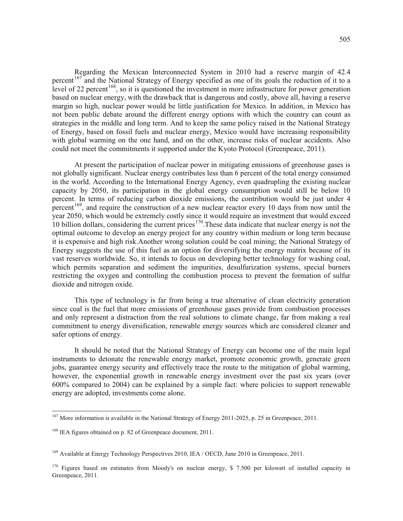Regarding the Mexican Interconnected System in 2010 had a reserve margin of 42.4 percent<sup>167</sup> and the National Strategy of Energy specified as one of its goals the reduction of it to a level of 22 percent<sup>168</sup>, so it is questioned the investment in more infrastructure for power generation based on nuclear energy, with the drawback that is dangerous and costly, above all, having a reserve margin so high, nuclear power would be little justification for Mexico. In addition, in Mexico has not been public debate around the different energy options with which the country can count as strategies in the middle and long term. And to keep the same policy raised in the National Strategy of Energy, based on fossil fuels and nuclear energy, Mexico would have increasing responsibility with global warming on the one hand, and on the other, increase risks of nuclear accidents. Also could not meet the commitments it supported under the Kyoto Protocol (Greenpeace, 2011).

At present the participation of nuclear power in mitigating emissions of greenhouse gases is not globally significant. Nuclear energy contributes less than 6 percent of the total energy consumed in the world. According to the International Energy Agency, even quadrupling the existing nuclear capacity by 2050, its participation in the global energy consumption would still be below 10 percent. In terms of reducing carbon dioxide emissions, the contribution would be just under 4 percent<sup>169</sup>, and require the construction of a new nuclear reactor every 10 days from now until the year 2050, which would be extremely costly since it would require an investment that would exceed 10 billion dollars, considering the current prices<sup>170</sup>. These data indicate that nuclear energy is not the optimal outcome to develop an energy project for any country within medium or long term because it is expensive and high risk.Another wrong solution could be coal mining; the National Strategy of Energy suggests the use of this fuel as an option for diversifying the energy matrix because of its vast reserves worldwide. So, it intends to focus on developing better technology for washing coal, which permits separation and sediment the impurities, desulfurization systems, special burners restricting the oxygen and controlling the combustion process to prevent the formation of sulfur dioxide and nitrogen oxide.

This type of technology is far from being a true alternative of clean electricity generation since coal is the fuel that more emissions of greenhouse gases provide from combustion processes and only represent a distraction from the real solutions to climate change, far from making a real commitment to energy diversification, renewable energy sources which are considered cleaner and safer options of energy.

It should be noted that the National Strategy of Energy can become one of the main legal instruments to detonate the renewable energy market, promote economic growth, generate green jobs, guarantee energy security and effectively trace the route to the mitigation of global warming, however, the exponential growth in renewable energy investment over the past six years (over 600% compared to 2004) can be explained by a simple fact: where policies to support renewable energy are adopted, investments come alone.

<sup>&</sup>lt;sup>167</sup> More information is available in the National Strategy of Energy 2011-2025, p. 25 in Greenpeace, 2011.

<sup>&</sup>lt;sup>168</sup> IEA figures obtained on p. 82 of Greenpeace document, 2011.

<sup>&</sup>lt;sup>169</sup> Available at Energy Technology Perspectives 2010, IEA / OECD, June 2010 in Greenpeace, 2011.

 $170$  Figures based on estimates from Moody's on nuclear energy, \$ 7.500 per kilowatt of installed capacity in Greenpeace, 2011.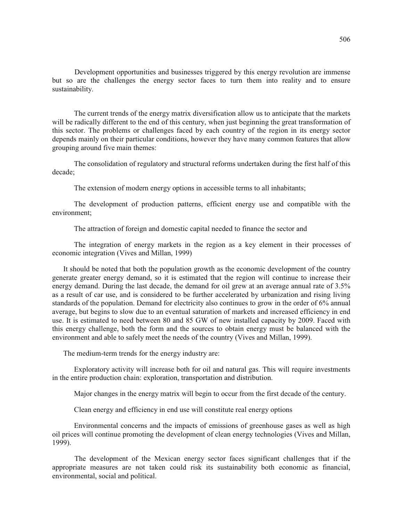Development opportunities and businesses triggered by this energy revolution are immense but so are the challenges the energy sector faces to turn them into reality and to ensure sustainability.

The current trends of the energy matrix diversification allow us to anticipate that the markets will be radically different to the end of this century, when just beginning the great transformation of this sector. The problems or challenges faced by each country of the region in its energy sector depends mainly on their particular conditions, however they have many common features that allow grouping around five main themes:

The consolidation of regulatory and structural reforms undertaken during the first half of this decade;

The extension of modern energy options in accessible terms to all inhabitants;

The development of production patterns, efficient energy use and compatible with the environment;

The attraction of foreign and domestic capital needed to finance the sector and

The integration of energy markets in the region as a key element in their processes of economic integration (Vives and Millan, 1999)

It should be noted that both the population growth as the economic development of the country generate greater energy demand, so it is estimated that the region will continue to increase their energy demand. During the last decade, the demand for oil grew at an average annual rate of 3.5% as a result of car use, and is considered to be further accelerated by urbanization and rising living standards of the population. Demand for electricity also continues to grow in the order of 6% annual average, but begins to slow due to an eventual saturation of markets and increased efficiency in end use. It is estimated to need between 80 and 85 GW of new installed capacity by 2009. Faced with this energy challenge, both the form and the sources to obtain energy must be balanced with the environment and able to safely meet the needs of the country (Vives and Millan, 1999).

The medium-term trends for the energy industry are:

Exploratory activity will increase both for oil and natural gas. This will require investments in the entire production chain: exploration, transportation and distribution.

Major changes in the energy matrix will begin to occur from the first decade of the century.

Clean energy and efficiency in end use will constitute real energy options

Environmental concerns and the impacts of emissions of greenhouse gases as well as high oil prices will continue promoting the development of clean energy technologies (Vives and Millan, 1999).

The development of the Mexican energy sector faces significant challenges that if the appropriate measures are not taken could risk its sustainability both economic as financial, environmental, social and political.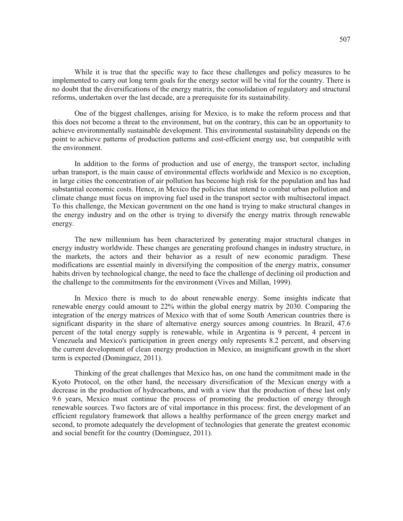While it is true that the specific way to face these challenges and policy measures to be implemented to carry out long term goals for the energy sector will be vital for the country. There is no doubt that the diversifications of the energy matrix, the consolidation of regulatory and structural reforms, undertaken over the last decade, are a prerequisite for its sustainability.

One of the biggest challenges, arising for Mexico, is to make the reform process and that this does not become a threat to the environment, but on the contrary, this can be an opportunity to achieve environmentally sustainable development. This environmental sustainability depends on the point to achieve patterns of production patterns and cost-efficient energy use, but compatible with the environment.

In addition to the forms of production and use of energy, the transport sector, including urban transport, is the main cause of environmental effects worldwide and Mexico is no exception, in large cities the concentration of air pollution has become high risk for the population and has had substantial economic costs. Hence, in Mexico the policies that intend to combat urban pollution and climate change must focus on improving fuel used in the transport sector with multisectoral impact. To this challenge, the Mexican government on the one hand is trying to make structural changes in the energy industry and on the other is trying to diversify the energy matrix through renewable energy.

The new millennium has been characterized by generating major structural changes in energy industry worldwide. These changes are generating profound changes in industry structure, in the markets, the actors and their behavior as a result of new economic paradigm. These modifications are essential mainly in diversifying the composition of the energy matrix, consumer habits driven by technological change, the need to face the challenge of declining oil production and the challenge to the commitments for the environment (Vives and Millan, 1999).

In Mexico there is much to do about renewable energy. Some insights indicate that renewable energy could amount to 22% within the global energy matrix by 2030. Comparing the integration of the energy matrices of Mexico with that of some South American countries there is significant disparity in the share of alternative energy sources among countries. In Brazil, 47.6 percent of the total energy supply is renewable, while in Argentina is 9 percent, 4 percent in Venezuela and Mexico's participation in green energy only represents 8.2 percent, and observing the current development of clean energy production in Mexico, an insignificant growth in the short term is expected (Dominguez, 2011).

Thinking of the great challenges that Mexico has, on one hand the commitment made in the Kyoto Protocol, on the other hand, the necessary diversification of the Mexican energy with a decrease in the production of hydrocarbons, and with a view that the production of these last only 9.6 years, Mexico must continue the process of promoting the production of energy through renewable sources. Two factors are of vital importance in this process: first, the development of an efficient regulatory framework that allows a healthy performance of the green energy market and second, to promote adequately the development of technologies that generate the greatest economic and social benefit for the country (Dominguez, 2011).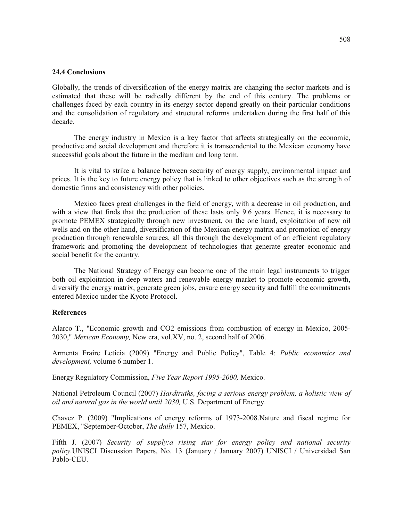## **24.4 Conclusions**

Globally, the trends of diversification of the energy matrix are changing the sector markets and is estimated that these will be radically different by the end of this century. The problems or challenges faced by each country in its energy sector depend greatly on their particular conditions and the consolidation of regulatory and structural reforms undertaken during the first half of this decade.

The energy industry in Mexico is a key factor that affects strategically on the economic, productive and social development and therefore it is transcendental to the Mexican economy have successful goals about the future in the medium and long term.

It is vital to strike a balance between security of energy supply, environmental impact and prices. It is the key to future energy policy that is linked to other objectives such as the strength of domestic firms and consistency with other policies.

Mexico faces great challenges in the field of energy, with a decrease in oil production, and with a view that finds that the production of these lasts only 9.6 years. Hence, it is necessary to promote PEMEX strategically through new investment, on the one hand, exploitation of new oil wells and on the other hand, diversification of the Mexican energy matrix and promotion of energy production through renewable sources, all this through the development of an efficient regulatory framework and promoting the development of technologies that generate greater economic and social benefit for the country.

The National Strategy of Energy can become one of the main legal instruments to trigger both oil exploitation in deep waters and renewable energy market to promote economic growth, diversify the energy matrix, generate green jobs, ensure energy security and fulfill the commitments entered Mexico under the Kyoto Protocol.

#### **References**

Alarco T., "Economic growth and CO2 emissions from combustion of energy in Mexico, 2005- 2030," *Mexican Economy,* New era, vol.XV, no. 2, second half of 2006.

Armenta Fraire Leticia (2009) "Energy and Public Policy", Table 4: *Public economics and development,* volume 6 number 1.

Energy Regulatory Commission, *Five Year Report 1995-2000,* Mexico.

National Petroleum Council (2007) *Hardtruths, facing a serious energy problem, a holistic view of oil and natural gas in the world until 2030,* U.S. Department of Energy.

Chavez P. (2009) "Implications of energy reforms of 1973-2008.Nature and fiscal regime for PEMEX, "September-October, *The daily* 157, Mexico.

Fifth J. (2007) *Security of supply:a rising star for energy policy and national security policy.*UNISCI Discussion Papers, No. 13 (January / January 2007) UNISCI / Universidad San Pablo-CEU.